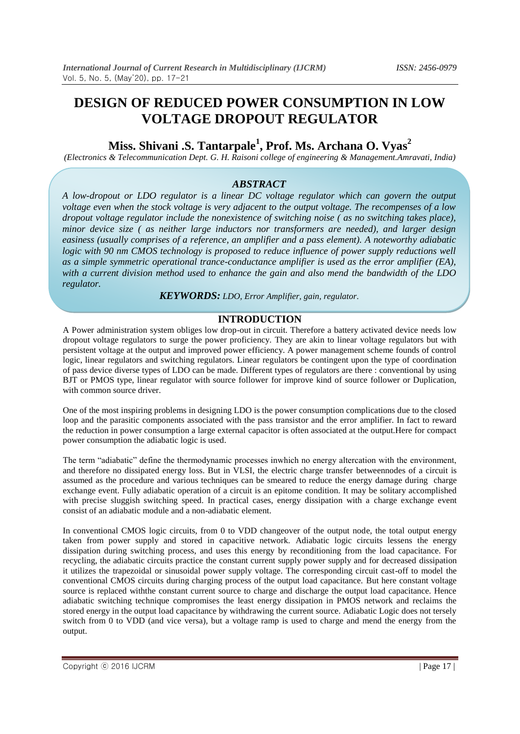# **DESIGN OF REDUCED POWER CONSUMPTION IN LOW VOLTAGE DROPOUT REGULATOR**

# **Miss. Shivani .S. Tantarpale<sup>1</sup> , Prof. Ms. Archana O. Vyas<sup>2</sup>**

*(Electronics & Telecommunication Dept. G. H. Raisoni college of engineering & Management.Amravati, India)*

#### *ABSTRACT*

*A low-dropout or LDO regulator is a linear DC voltage regulator which can govern the output voltage even when the stock voltage is very adjacent to the output voltage. The recompenses of a low dropout voltage regulator include the nonexistence of switching noise ( as no switching takes place), minor device size ( as neither large inductors nor transformers are needed), and larger design easiness (usually comprises of a reference, an amplifier and a pass element). A noteworthy adiabatic logic with 90 nm CMOS technology is proposed to reduce influence of power supply reductions well as a simple symmetric operational trance-conductance amplifier is used as the error amplifier (EA), with a current division method used to enhance the gain and also mend the bandwidth of the LDO regulator.*

*KEYWORDS: LDO, Error Amplifier, gain, regulator.*

#### **INTRODUCTION**

A Power administration system obliges low drop-out in circuit. Therefore a battery activated device needs low dropout voltage regulators to surge the power proficiency. They are akin to linear voltage regulators but with persistent voltage at the output and improved power efficiency. A power management scheme founds of control logic, linear regulators and switching regulators. Linear regulators be contingent upon the type of coordination of pass device diverse types of LDO can be made. Different types of regulators are there : conventional by using BJT or PMOS type, linear regulator with source follower for improve kind of source follower or Duplication, with common source driver.

One of the most inspiring problems in designing LDO is the power consumption complications due to the closed loop and the parasitic components associated with the pass transistor and the error amplifier. In fact to reward the reduction in power consumption a large external capacitor is often associated at the output.Here for compact power consumption the adiabatic logic is used.

The term "adiabatic" define the thermodynamic processes inwhich no energy altercation with the environment, and therefore no dissipated energy loss. But in VLSI, the electric charge transfer betweennodes of a circuit is assumed as the procedure and various techniques can be smeared to reduce the energy damage during charge exchange event. Fully adiabatic operation of a circuit is an epitome condition. It may be solitary accomplished with precise sluggish switching speed. In practical cases, energy dissipation with a charge exchange event consist of an adiabatic module and a non-adiabatic element.

In conventional CMOS logic circuits, from 0 to VDD changeover of the output node, the total output energy taken from power supply and stored in capacitive network. Adiabatic logic circuits lessens the energy dissipation during switching process, and uses this energy by reconditioning from the load capacitance. For recycling, the adiabatic circuits practice the constant current supply power supply and for decreased dissipation it utilizes the trapezoidal or sinusoidal power supply voltage. The corresponding circuit cast-off to model the conventional CMOS circuits during charging process of the output load capacitance. But here constant voltage source is replaced withthe constant current source to charge and discharge the output load capacitance. Hence adiabatic switching technique compromises the least energy dissipation in PMOS network and reclaims the stored energy in the output load capacitance by withdrawing the current source. Adiabatic Logic does not tersely switch from 0 to VDD (and vice versa), but a voltage ramp is used to charge and mend the energy from the output.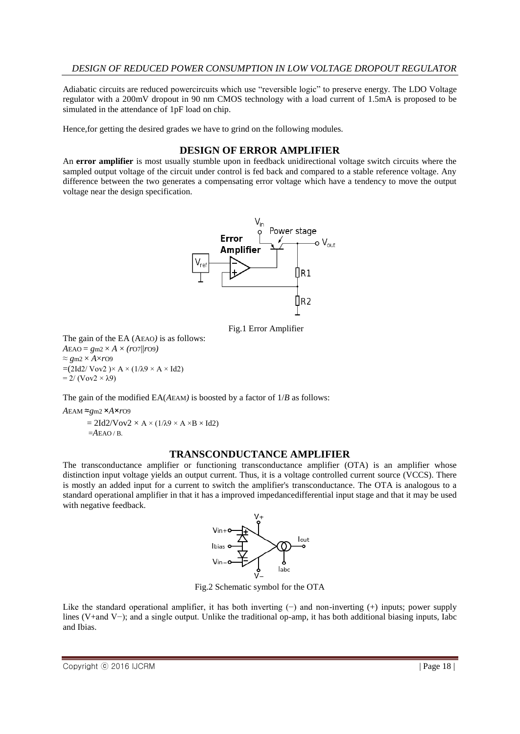#### *DESIGN OF REDUCED POWER CONSUMPTION IN LOW VOLTAGE DROPOUT REGULATOR*

Adiabatic circuits are reduced powercircuits which use "reversible logic" to preserve energy. The LDO Voltage regulator with a 200mV dropout in 90 nm CMOS technology with a load current of 1.5mA is proposed to be simulated in the attendance of 1pF load on chip.

Hence,for getting the desired grades we have to grind on the following modules.

#### **DESIGN OF ERROR AMPLIFIER**

An **error amplifier** is most usually stumble upon in feedback unidirectional voltage switch circuits where the sampled output voltage of the circuit under control is fed back and compared to a stable reference voltage. Any difference between the two generates a compensating error voltage which have a tendency to move the output voltage near the design specification.



Fig.1 Error Amplifier

The gain of the EA (AEAO*)* is as follows:  $AEAO = gm2 \times A \times (ro7||ro9)$  $\approx$  *g*m2  $\times$  *A* $\times$ *r*O9  $=(2Id2/\text{Vov2})\times A \times (1/\lambda 9 \times A \times Id2)$  $= 2/(Vov2 \times \lambda 9)$ 

The gain of the modified EA(*A*EAM*)* is boosted by a factor of 1/*B* as follows:

*A*EAM ≈*g*m2 ×*A*×*r*O9  $= 2Id2/Vov2 \times A \times (1/\lambda9 \times A \times B \times Id2)$ =*A*EAO / B.

#### **TRANSCONDUCTANCE AMPLIFIER**

The transconductance amplifier or functioning transconductance amplifier (OTA) is an amplifier whose distinction input voltage yields an output current. Thus, it is a voltage controlled current source (VCCS). There is mostly an added input for a current to switch the amplifier's transconductance. The OTA is analogous to a standard operational amplifier in that it has a improved impedancedifferential input stage and that it may be used with negative feedback.



Fig.2 Schematic symbol for the OTA

Like the standard operational amplifier, it has both inverting (−) and non-inverting (+) inputs; power supply lines (V+and V−); and a single output. Unlike the traditional op-amp, it has both additional biasing inputs, Iabc and Ibias.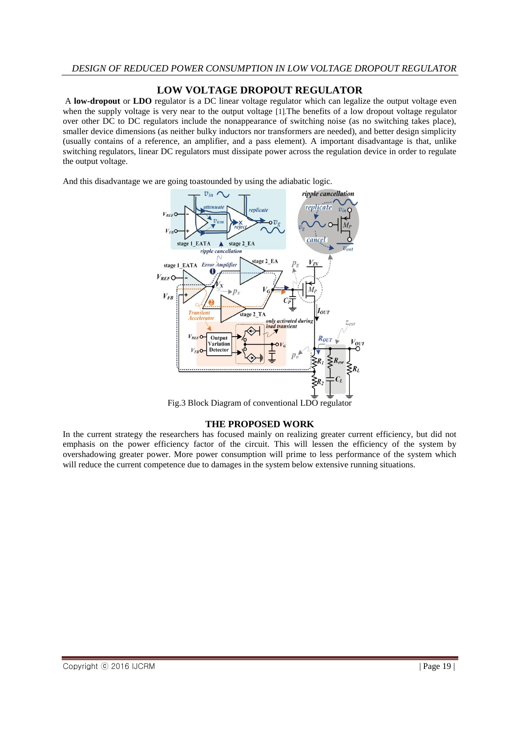### **LOW VOLTAGE DROPOUT REGULATOR**

A **low-dropout** or **LDO** regulator is a DC linear voltage regulator which can legalize the output voltage even when the supply voltage is very near to the output voltage [1]. The benefits of a low dropout voltage regulator over other DC to DC regulators include the nonappearance of switching noise (as no switching takes place), smaller device dimensions (as neither bulky inductors nor transformers are needed), and better design simplicity (usually contains of a reference, an amplifier, and a pass element). A important disadvantage is that, unlike switching regulators, linear DC regulators must dissipate power across the regulation device in order to regulate the output voltage.

And this disadvantage we are going toastounded by using the adiabatic logic.



Fig.3 Block Diagram of conventional LDO regulator

#### **THE PROPOSED WORK**

In the current strategy the researchers has focused mainly on realizing greater current efficiency, but did not emphasis on the power efficiency factor of the circuit. This will lessen the efficiency of the system by overshadowing greater power. More power consumption will prime to less performance of the system which will reduce the current competence due to damages in the system below extensive running situations.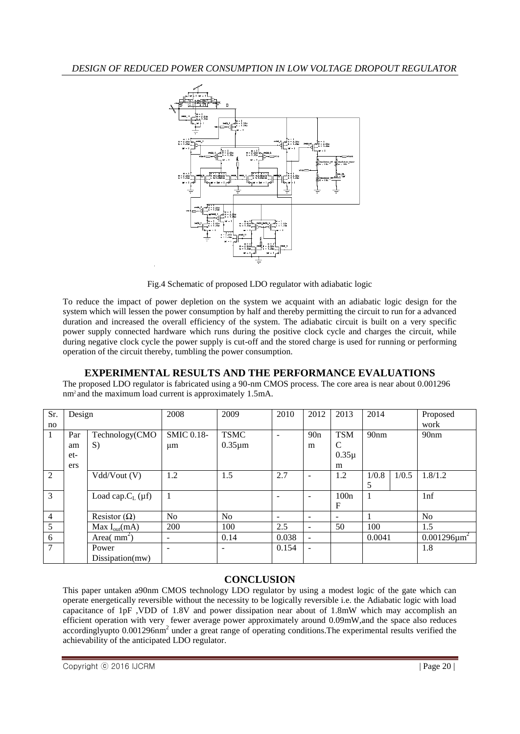

Fig.4 Schematic of proposed LDO regulator with adiabatic logic

To reduce the impact of power depletion on the system we acquaint with an adiabatic logic design for the system which will lessen the power consumption by half and thereby permitting the circuit to run for a advanced duration and increased the overall efficiency of the system. The adiabatic circuit is built on a very specific power supply connected hardware which runs during the positive clock cycle and charges the circuit, while during negative clock cycle the power supply is cut-off and the stored charge is used for running or performing operation of the circuit thereby, tumbling the power consumption.

# **EXPERIMENTAL RESULTS AND THE PERFORMANCE EVALUATIONS**

The proposed LDO regulator is fabricated using a 90-nm CMOS process. The core area is near about 0.001296 nm2 and the maximum load current is approximately 1.5mA.

| Sr.            | Design |                          | 2008              | 2009           | 2010                     | 2012                     | 2013                     | 2014             |       | Proposed           |
|----------------|--------|--------------------------|-------------------|----------------|--------------------------|--------------------------|--------------------------|------------------|-------|--------------------|
| no             |        |                          |                   |                |                          |                          |                          |                  |       | work               |
|                | Par    | Technology(CMO           | <b>SMIC 0.18-</b> | <b>TSMC</b>    | $\overline{\phantom{0}}$ | 90n                      | <b>TSM</b>               | 90 <sub>nm</sub> |       | 90 <sub>nm</sub>   |
|                | am     | S)                       | $\mu$ m           | $0.35 \mu m$   |                          | m                        | C                        |                  |       |                    |
|                | et-    |                          |                   |                |                          |                          | $0.35\mu$                |                  |       |                    |
|                | ers    |                          |                   |                |                          |                          | m                        |                  |       |                    |
| 2              |        | Vdd/Vout (V)             | 1.2               | 1.5            | 2.7                      |                          | 1.2                      | 1/0.8            | 1/0.5 | 1.8/1.2            |
|                |        |                          |                   |                |                          |                          |                          | 5                |       |                    |
| 3              |        | Load cap. $C_{L}(\mu f)$ |                   |                | $\overline{\phantom{a}}$ |                          | 100n                     | 1                |       | 1 <sub>nf</sub>    |
|                |        |                          |                   |                |                          |                          | F                        |                  |       |                    |
| $\overline{4}$ |        | Resistor $(\Omega)$      | N <sub>o</sub>    | N <sub>o</sub> | $\overline{\phantom{a}}$ |                          | $\overline{\phantom{a}}$ |                  |       | N <sub>0</sub>     |
| 5              |        | Max $I_{out}(mA)$        | 200               | 100            | 2.5                      | $\qquad \qquad -$        | 50                       | 100              |       | 1.5                |
| 6              |        | Area( $mm2$ )            | ۰                 | 0.14           | 0.038                    | $\overline{\phantom{a}}$ |                          | 0.0041           |       | $0.001296 \mu m^2$ |
| $\tau$         |        | Power                    | ۰                 |                | 0.154                    | $\overline{\phantom{a}}$ |                          |                  |       | 1.8                |
|                |        | Dissipation(mw)          |                   |                |                          |                          |                          |                  |       |                    |

# **CONCLUSION**

This paper untaken a90nm CMOS technology LDO regulator by using a modest logic of the gate which can operate energetically reversible without the necessity to be logically reversible i.e. the Adiabatic logic with load capacitance of 1pF ,VDD of 1.8V and power dissipation near about of 1.8mW which may accomplish an efficient operation with very fewer average power approximately around 0.09mW,and the space also reduces accordinglyupto 0.001296nm<sup>2</sup> under a great range of operating conditions. The experimental results verified the achievability of the anticipated LDO regulator.